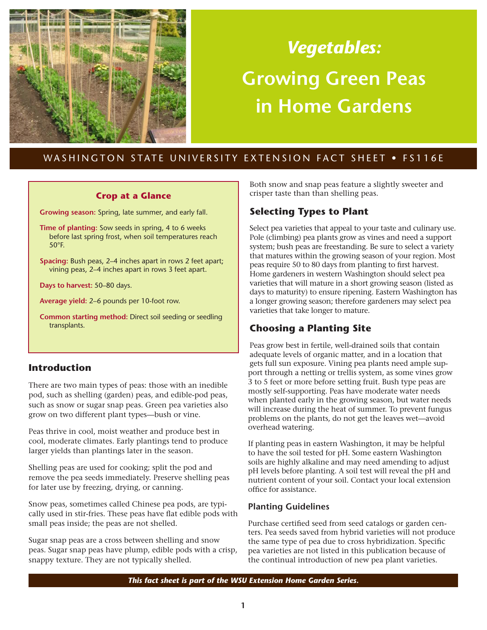

# *Vegetables:* **Growing Green Peas in Home Gardens**

# WASHINGTON STATE UNIVERSITY EXTENSION FACT SHEET . FS116E

## **Crop at a Glance**

**Growing season:** Spring, late summer, and early fall.

**Time of planting:** Sow seeds in spring, 4 to 6 weeks before last spring frost, when soil temperatures reach 50°F.

**Spacing:** Bush peas, 2–4 inches apart in rows 2 feet apart; vining peas, 2–4 inches apart in rows 3 feet apart.

**Days to harvest:** 50–80 days.

**Average yield:** 2–6 pounds per 10-foot row.

**Common starting method:** Direct soil seeding or seedling transplants.

# **Introduction**

There are two main types of peas: those with an inedible pod, such as shelling (garden) peas, and edible-pod peas, such as snow or sugar snap peas. Green pea varieties also grow on two different plant types—bush or vine.

Peas thrive in cool, moist weather and produce best in cool, moderate climates. Early plantings tend to produce larger yields than plantings later in the season.

Shelling peas are used for cooking; split the pod and remove the pea seeds immediately. Preserve shelling peas for later use by freezing, drying, or canning.

Snow peas, sometimes called Chinese pea pods, are typically used in stir-fries. These peas have flat edible pods with small peas inside; the peas are not shelled.

Sugar snap peas are a cross between shelling and snow peas. Sugar snap peas have plump, edible pods with a crisp, snappy texture. They are not typically shelled.

Both snow and snap peas feature a slightly sweeter and crisper taste than than shelling peas.

# **Selecting Types to Plant**

Select pea varieties that appeal to your taste and culinary use. Pole (climbing) pea plants grow as vines and need a support system; bush peas are freestanding. Be sure to select a variety that matures within the growing season of your region. Most peas require 50 to 80 days from planting to first harvest. Home gardeners in western Washington should select pea varieties that will mature in a short growing season (listed as days to maturity) to ensure ripening. Eastern Washington has a longer growing season; therefore gardeners may select pea varieties that take longer to mature.

# **Choosing a Planting Site**

Peas grow best in fertile, well-drained soils that contain adequate levels of organic matter, and in a location that gets full sun exposure. Vining pea plants need ample support through a netting or trellis system, as some vines grow 3 to 5 feet or more before setting fruit. Bush type peas are mostly self-supporting. Peas have moderate water needs when planted early in the growing season, but water needs will increase during the heat of summer. To prevent fungus problems on the plants, do not get the leaves wet—avoid overhead watering.

If planting peas in eastern Washington, it may be helpful to have the soil tested for pH. Some eastern Washington soils are highly alkaline and may need amending to adjust pH levels before planting. A soil test will reveal the pH and nutrient content of your soil. Contact your local extension office for assistance.

# **Planting Guidelines**

Purchase certified seed from seed catalogs or garden centers. Pea seeds saved from hybrid varieties will not produce the same type of pea due to cross hybridization. Specific pea varieties are not listed in this publication because of the continual introduction of new pea plant varieties.

*This fact sheet is part of the WSU Extension Home Garden Series.*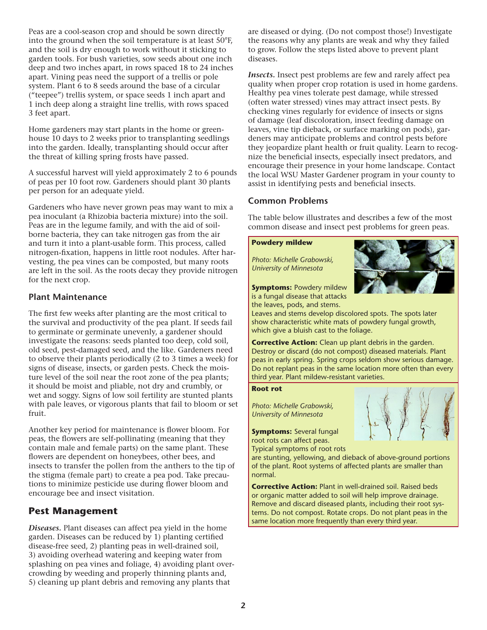Peas are a cool-season crop and should be sown directly into the ground when the soil temperature is at least 50°F, and the soil is dry enough to work without it sticking to garden tools. For bush varieties, sow seeds about one inch deep and two inches apart, in rows spaced 18 to 24 inches apart. Vining peas need the support of a trellis or pole system. Plant 6 to 8 seeds around the base of a circular ("teepee") trellis system, or space seeds 1 inch apart and 1 inch deep along a straight line trellis, with rows spaced 3 feet apart.

Home gardeners may start plants in the home or greenhouse 10 days to 2 weeks prior to transplanting seedlings into the garden. Ideally, transplanting should occur after the threat of killing spring frosts have passed.

A successful harvest will yield approximately 2 to 6 pounds of peas per 10 foot row. Gardeners should plant 30 plants per person for an adequate yield.

Gardeners who have never grown peas may want to mix a pea inoculant (a Rhizobia bacteria mixture) into the soil. Peas are in the legume family, and with the aid of soilborne bacteria, they can take nitrogen gas from the air and turn it into a plant-usable form. This process, called nitrogen-fixation, happens in little root nodules. After harvesting, the pea vines can be composted, but many roots are left in the soil. As the roots decay they provide nitrogen for the next crop.

## **Plant Maintenance**

The first few weeks after planting are the most critical to the survival and productivity of the pea plant. If seeds fail to germinate or germinate unevenly, a gardener should investigate the reasons: seeds planted too deep, cold soil, old seed, pest-damaged seed, and the like. Gardeners need to observe their plants periodically (2 to 3 times a week) for signs of disease, insects, or garden pests. Check the moisture level of the soil near the root zone of the pea plants; it should be moist and pliable, not dry and crumbly, or wet and soggy. Signs of low soil fertility are stunted plants with pale leaves, or vigorous plants that fail to bloom or set fruit.

Another key period for maintenance is flower bloom. For peas, the flowers are self-pollinating (meaning that they contain male and female parts) on the same plant. These flowers are dependent on honeybees, other bees, and insects to transfer the pollen from the anthers to the tip of the stigma (female part) to create a pea pod. Take precautions to minimize pesticide use during flower bloom and encourage bee and insect visitation.

# **Pest Management**

*Diseases.* Plant diseases can affect pea yield in the home garden. Diseases can be reduced by 1) planting certified disease-free seed, 2) planting peas in well-drained soil, 3) avoiding overhead watering and keeping water from splashing on pea vines and foliage, 4) avoiding plant overcrowding by weeding and properly thinning plants and, 5) cleaning up plant debris and removing any plants that

are diseased or dying. (Do not compost those!) Investigate the reasons why any plants are weak and why they failed to grow. Follow the steps listed above to prevent plant diseases.

*Insects.* Insect pest problems are few and rarely affect pea quality when proper crop rotation is used in home gardens. Healthy pea vines tolerate pest damage, while stressed (often water stressed) vines may attract insect pests. By checking vines regularly for evidence of insects or signs of damage (leaf discoloration, insect feeding damage on leaves, vine tip dieback, or surface marking on pods), gardeners may anticipate problems and control pests before they jeopardize plant health or fruit quality. Learn to recognize the beneficial insects, especially insect predators, and encourage their presence in your home landscape. Contact the local WSU Master Gardener program in your county to assist in identifying pests and beneficial insects.

## **Common Problems**

The table below illustrates and describes a few of the most common disease and insect pest problems for green peas.

#### **Powdery mildew**

*Photo: Michelle Grabowski, University of Minnesota*



**Symptoms: Powdery mildew** is a fungal disease that attacks the leaves, pods, and stems.

Leaves and stems develop discolored spots. The spots later show characteristic white mats of powdery fungal growth, which give a bluish cast to the foliage.

**Corrective Action:** Clean up plant debris in the garden. Destroy or discard (do not compost) diseased materials. Plant peas in early spring. Spring crops seldom show serious damage. Do not replant peas in the same location more often than every third year. Plant mildew-resistant varieties.

#### **Root rot**

*Photo: Michelle Grabowski, University of Minnesota*

**Symptoms:** Several fungal root rots can affect peas.

Typical symptoms of root rots

are stunting, yellowing, and dieback of above-ground portions of the plant. Root systems of affected plants are smaller than normal.

**Corrective Action:** Plant in well-drained soil. Raised beds or organic matter added to soil will help improve drainage. Remove and discard diseased plants, including their root systems. Do not compost. Rotate crops. Do not plant peas in the same location more frequently than every third year.

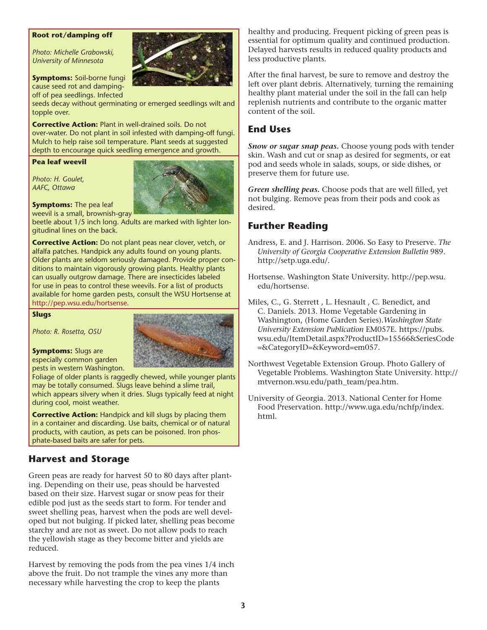#### **Root rot/damping off**

*Photo: Michelle Grabowski, University of Minnesota*

**Symptoms:** Soil-borne fungi cause seed rot and dampingoff of pea seedlings. Infected

seeds decay without germinating or emerged seedlings wilt and topple over.

**Corrective Action:** Plant in well-drained soils. Do not over-water. Do not plant in soil infested with damping-off fungi. Mulch to help raise soil temperature. Plant seeds at suggested depth to encourage quick seedling emergence and growth.

#### **Pea leaf weevil**

*Photo: H. Goulet, AAFC, Ottawa*



**Symptoms:** The pea leaf weevil is a small, brownish-gray

beetle about 1/5 inch long. Adults are marked with lighter longitudinal lines on the back.

**Corrective Action:** Do not plant peas near clover, vetch, or alfalfa patches. Handpick any adults found on young plants. Older plants are seldom seriously damaged. Provide proper conditions to maintain vigorously growing plants. Healthy plants can usually outgrow damage. There are insecticides labeled for use in peas to control these weevils. For a list of products available for home garden pests, consult the WSU Hortsense at [http://pep.wsu.edu/hortsense.](http://pep.wsu.edu/hortsense)

#### **Slugs**

*Photo: R. Rosetta, OSU*

**Symptoms:** Slugs are especially common garden pests in western Washington.



Foliage of older plants is raggedly chewed, while younger plants may be totally consumed. Slugs leave behind a slime trail, which appears silvery when it dries. Slugs typically feed at night during cool, moist weather.

**Corrective Action:** Handpick and kill slugs by placing them in a container and discarding. Use baits, chemical or of natural products, with caution, as pets can be poisoned. Iron phosphate-based baits are safer for pets.

## **Harvest and Storage**

Green peas are ready for harvest 50 to 80 days after planting. Depending on their use, peas should be harvested based on their size. Harvest sugar or snow peas for their edible pod just as the seeds start to form. For tender and sweet shelling peas, harvest when the pods are well developed but not bulging. If picked later, shelling peas become starchy and are not as sweet. Do not allow pods to reach the yellowish stage as they become bitter and yields are reduced.

Harvest by removing the pods from the pea vines 1/4 inch above the fruit. Do not trample the vines any more than necessary while harvesting the crop to keep the plants

healthy and producing. Frequent picking of green peas is essential for optimum quality and continued production. Delayed harvests results in reduced quality products and less productive plants.

After the final harvest, be sure to remove and destroy the left over plant debris. Alternatively, turning the remaining healthy plant material under the soil in the fall can help replenish nutrients and contribute to the organic matter content of the soil.

## **End Uses**

*Snow or sugar snap peas.* Choose young pods with tender skin. Wash and cut or snap as desired for segments, or eat pod and seeds whole in salads, soups, or side dishes, or preserve them for future use.

*Green shelling peas.* Choose pods that are well filled, yet not bulging. Remove peas from their pods and cook as desired.

### **Further Reading**

- Andress, E. and J. Harrison. 2006. So Easy to Preserve. *The University of Georgia Cooperative Extension Bulletin* 989. <http://setp.uga.edu/>.
- Hortsense. Washington State University. [http://pep.wsu.](http://pep.wsu.edu/hortsense) [edu/hortsense](http://pep.wsu.edu/hortsense).
- Miles, C., G. Sterrett , L. Hesnault , C. Benedict, and C. Daniels. 2013. Home Vegetable Gardening in Washington, (Home Garden Series).*Washington State University Extension Publication* EM057E. [https://pubs.](https://pubs.wsu.edu/ItemDetail.aspx?ProductID=15566&SeriesCode=&CategoryID=&Keyword=em057) [wsu.edu/ItemDetail.aspx?ProductID=15566&SeriesCode](https://pubs.wsu.edu/ItemDetail.aspx?ProductID=15566&SeriesCode=&CategoryID=&Keyword=em057) [=&CategoryID=&Keyword=em057](https://pubs.wsu.edu/ItemDetail.aspx?ProductID=15566&SeriesCode=&CategoryID=&Keyword=em057).
- Northwest Vegetable Extension Group. Photo Gallery of Vegetable Problems. Washington State University. [http://](http://mtvernon.wsu.edu/path_team/pea.htm) [mtvernon.wsu.edu/path\\_team/pea.htm.](http://mtvernon.wsu.edu/path_team/pea.htm)
- University of Georgia. 2013. National Center for Home Food Preservation. [http://www.uga.edu/nchfp/index.](http://www.uga.edu/nchfp/index.html) [html.](http://www.uga.edu/nchfp/index.html)